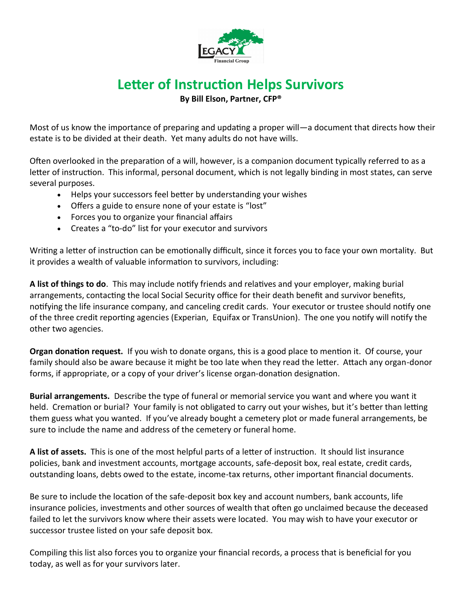

## **Letter of Instruction Helps Survivors**

**By Bill Elson, Partner, CFP®**

Most of us know the importance of preparing and updating a proper will—a document that directs how their estate is to be divided at their death. Yet many adults do not have wills.

Often overlooked in the preparation of a will, however, is a companion document typically referred to as a letter of instruction. This informal, personal document, which is not legally binding in most states, can serve several purposes.

- Helps your successors feel better by understanding your wishes
- Offers a guide to ensure none of your estate is "lost"
- Forces you to organize your financial affairs
- Creates a "to-do" list for your executor and survivors

Writing a letter of instruction can be emotionally difficult, since it forces you to face your own mortality. But it provides a wealth of valuable information to survivors, including:

**A list of things to do**. This may include notify friends and relatives and your employer, making burial arrangements, contacting the local Social Security office for their death benefit and survivor benefits, notifying the life insurance company, and canceling credit cards. Your executor or trustee should notify one of the three credit reporting agencies (Experian, Equifax or TransUnion). The one you notify will notify the other two agencies.

**Organ donation request.** If you wish to donate organs, this is a good place to mention it. Of course, your family should also be aware because it might be too late when they read the letter. Attach any organ-donor forms, if appropriate, or a copy of your driver's license organ-donation designation.

**Burial arrangements.** Describe the type of funeral or memorial service you want and where you want it held. Cremation or burial? Your family is not obligated to carry out your wishes, but it's better than letting them guess what you wanted. If you've already bought a cemetery plot or made funeral arrangements, be sure to include the name and address of the cemetery or funeral home.

**A list of assets.** This is one of the most helpful parts of a letter of instruction. It should list insurance policies, bank and investment accounts, mortgage accounts, safe-deposit box, real estate, credit cards, outstanding loans, debts owed to the estate, income-tax returns, other important financial documents.

Be sure to include the location of the safe-deposit box key and account numbers, bank accounts, life insurance policies, investments and other sources of wealth that often go unclaimed because the deceased failed to let the survivors know where their assets were located. You may wish to have your executor or successor trustee listed on your safe deposit box.

Compiling this list also forces you to organize your financial records, a process that is beneficial for you today, as well as for your survivors later.